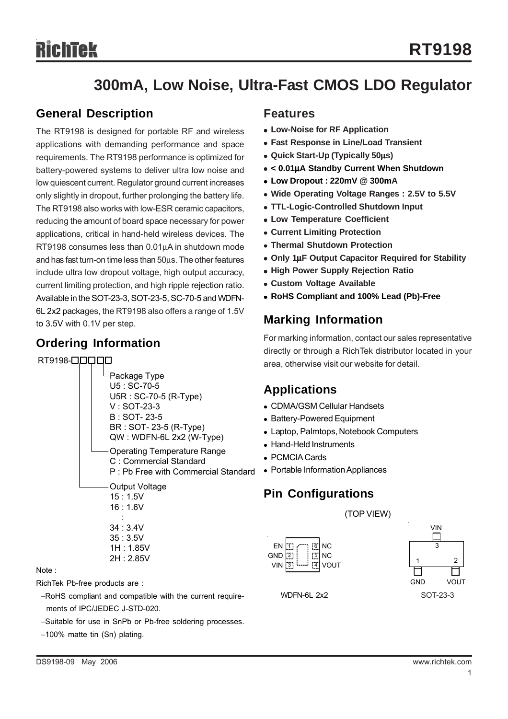# **300mA, Low Noise, Ultra-Fast CMOS LDO Regulator**

### **General Description**

The RT9198 is designed for portable RF and wireless applications with demanding performance and space requirements. The RT9198 performance is optimized for battery-powered systems to deliver ultra low noise and low quiescent current. Regulator ground current increases only slightly in dropout, further prolonging the battery life. The RT9198 also works with low-ESR ceramic capacitors, reducing the amount of board space necessary for power applications, critical in hand-held wireless devices. The RT9198 consumes less than 0.01μA in shutdown mode and has fast turn-on time less than 50μs. The other features include ultra low dropout voltage, high output accuracy, current limiting protection, and high ripple rejection ratio. Available in the SOT-23-3, SOT-23-5, SC-70-5 and WDFN-6L 2x2 packages, the RT9198 also offers a range of 1.5V to 3.5V with 0.1V per step.

## **Ordering Information**

#### RT9198-**QOOOO**



#### Note :

RichTek Pb-free products are :

- −RoHS compliant and compatible with the current require ments of IPC/JEDEC J-STD-020.
- −Suitable for use in SnPb or Pb-free soldering processes.
- −100% matte tin (Sn) plating.

#### **Features**

- **Low-Noise for RF Application**
- **Fast Response in Line/Load Transient**
- <sup>z</sup> **Quick Start-Up (Typically 50**μ**s)**
- <sup>z</sup> **< 0.01**μ**A Standby Current When Shutdown**
- <sup>z</sup> **Low Dropout : 220mV @ 300mA**
- Wide Operating Voltage Ranges: 2.5V to 5.5V
- <sup>z</sup> **TTL-Logic-Controlled Shutdown Input**
- **Low Temperature Coefficient**
- **Current Limiting Protection**
- **Thermal Shutdown Protection**
- <sup>z</sup> **Only 1**μ**F Output Capacitor Required for Stability**
- **High Power Supply Rejection Ratio**
- **Custom Voltage Available**
- <sup>z</sup> **RoHS Compliant and 100% Lead (Pb)-Free**

## **Marking Information**

For marking information, contact our sales representative directly or through a RichTek distributor located in your area, otherwise visit our website for detail.

### **Applications**

- CDMA/GSM Cellular Handsets
- Battery-Powered Equipment
- Laptop, Palmtops, Notebook Computers
- Hand-Held Instruments
- PCMCIA Cards
- Portable Information Appliances

## **Pin Configurations**







WDFN-6L 2x2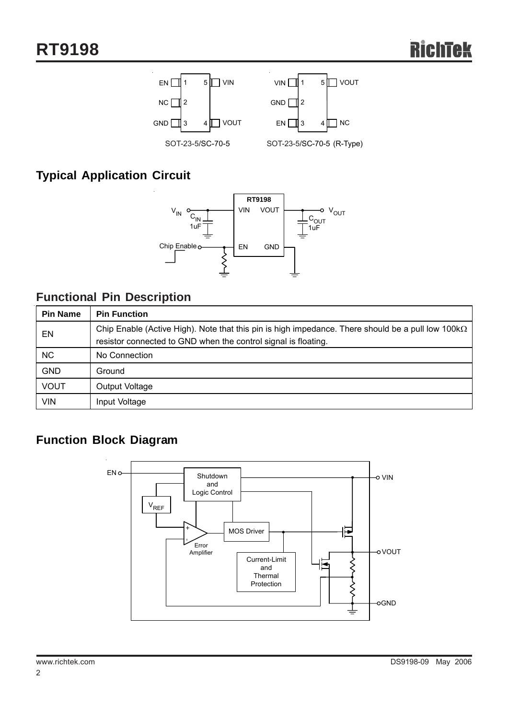

## **Typical Application Circuit**



## **Functional Pin Description**

| <b>Pin Name</b> | <b>Pin Function</b>                                                                                                                                                         |
|-----------------|-----------------------------------------------------------------------------------------------------------------------------------------------------------------------------|
| EN              | Chip Enable (Active High). Note that this pin is high impedance. There should be a pull low 100 $k\Omega$<br>resistor connected to GND when the control signal is floating. |
| NC.             | No Connection                                                                                                                                                               |
| <b>GND</b>      | Ground                                                                                                                                                                      |
| <b>VOUT</b>     | Output Voltage                                                                                                                                                              |
| <b>VIN</b>      | Input Voltage                                                                                                                                                               |

# **Function Block Diagram**

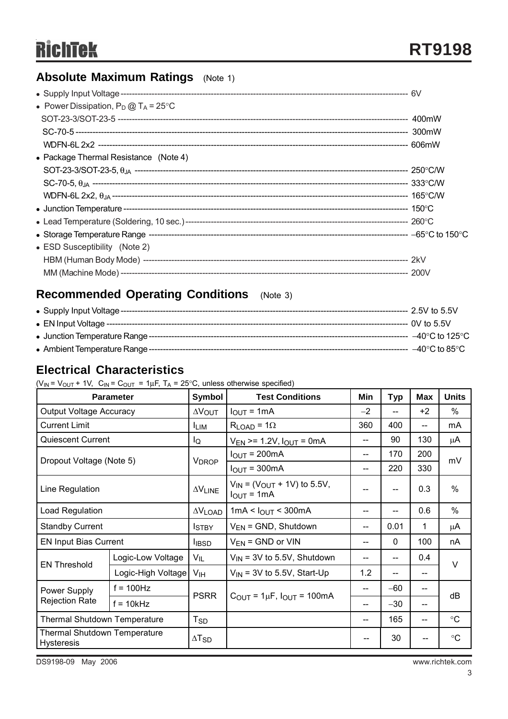# **Absolute Maximum Ratings** (Note 1)

| • Power Dissipation, $P_D @ T_A = 25^{\circ}C$ |  |
|------------------------------------------------|--|
|                                                |  |
|                                                |  |
|                                                |  |
| • Package Thermal Resistance $(Note 4)$        |  |
|                                                |  |
|                                                |  |
|                                                |  |
|                                                |  |
|                                                |  |
|                                                |  |
| • ESD Susceptibility (Note 2)                  |  |
|                                                |  |
|                                                |  |

# **Recommended Operating Conditions** (Note 3)

| ---- 2.5V to 5.5V          |
|----------------------------|
| --- 0V to 5.5V             |
| $-40^{\circ}$ C to 125°C . |
| ---  –40°C to 85°C .       |

## **Electrical Characteristics**

| ( $V_{IN}$ = $V_{OUT}$ + 1V, $C_{IN}$ = $C_{OUT}$ = 1µF, T <sub>A</sub> = 25°C, unless otherwise specified) |  |
|-------------------------------------------------------------------------------------------------------------|--|
|-------------------------------------------------------------------------------------------------------------|--|

| <b>Parameter</b>                                         |                    | <b>Symbol</b>            | <b>Test Conditions</b>                                         | Min  | <b>Typ</b>        | Max  | <b>Units</b>    |  |
|----------------------------------------------------------|--------------------|--------------------------|----------------------------------------------------------------|------|-------------------|------|-----------------|--|
| Output Voltage Accuracy                                  |                    | $\Delta V_{\text{OUT}}$  | $I_{\text{OUT}} = 1 \text{mA}$                                 | $-2$ | $-$               | $+2$ | $\%$            |  |
| <b>Current Limit</b>                                     |                    | <b>ILIM</b>              | $R_{LOAD} = 1\Omega$                                           | 360  | 400               | --   | mA              |  |
| <b>Quiescent Current</b>                                 |                    | lQ                       | $V_{EN}$ >= 1.2V, $I_{OUT}$ = 0mA                              | --   | 90                | 130  | μA              |  |
| Dropout Voltage (Note 5)                                 |                    | <b>V<sub>DROP</sub></b>  | $I_{OUT} = 200mA$                                              | --   | 170               | 200  | mV              |  |
|                                                          |                    |                          | $I_{OUT} = 300mA$                                              | --   | 220               | 330  |                 |  |
| Line Regulation                                          |                    | $\Delta V_{LINE}$        | $V_{IN}$ = (V <sub>OUT</sub> + 1V) to 5.5V,<br>$I_{OUT} = 1mA$ |      | $- -$             | 0.3  | $\%$            |  |
| Load Regulation                                          |                    | $\Delta V$ LOAD          | 1mA < I <sub>OUT</sub> < 300mA                                 | --   | $-$               | 0.6  | $\frac{0}{0}$   |  |
| <b>Standby Current</b>                                   |                    | <b>I</b> STBY            | $V_{EN}$ = GND, Shutdown                                       | --   | 0.01              | 1    | $\mu$ A         |  |
| <b>EN Input Bias Current</b>                             |                    | <b>I</b> IBSD            | $V_{EN}$ = GND or VIN                                          | --   | 0                 | 100  | nA              |  |
| <b>EN Threshold</b>                                      | Logic-Low Voltage  | $V_{IL}$                 | $V_{\text{IN}}$ = 3V to 5.5V, Shutdown                         |      | $-$               | 0.4  | $\vee$          |  |
|                                                          | Logic-High Voltage | V <sub>IH</sub>          | $V_{IN}$ = 3V to 5.5V, Start-Up                                |      | $\qquad \qquad -$ | --   |                 |  |
| Power Supply                                             | $f = 100$ Hz       |                          | $C_{\text{OUT}} = 1 \mu F$ , $I_{\text{OUT}} = 100 \text{mA}$  |      | $-60$             | --   |                 |  |
| <b>Rejection Rate</b>                                    | $f = 10kHz$        | <b>PSRR</b>              |                                                                |      | $-30$             | --   | dB              |  |
| Thermal Shutdown Temperature                             |                    | $T_{SD}$                 |                                                                | --   | 165               | --   | $\circ$ C       |  |
| <b>Thermal Shutdown Temperature</b><br><b>Hysteresis</b> |                    | $\Delta$ T <sub>SD</sub> |                                                                |      | 30                |      | $\rm ^{\circ}C$ |  |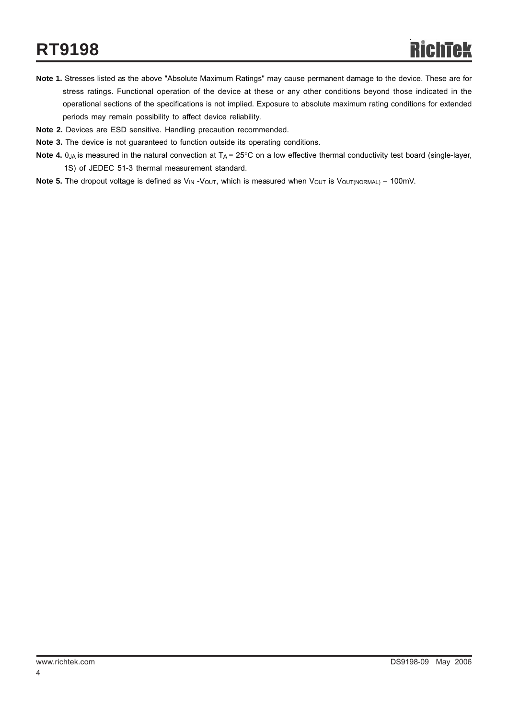- **Note 1.** Stresses listed as the above "Absolute Maximum Ratings" may cause permanent damage to the device. These are for stress ratings. Functional operation of the device at these or any other conditions beyond those indicated in the operational sections of the specifications is not implied. Exposure to absolute maximum rating conditions for extended periods may remain possibility to affect device reliability.
- **Note 2.** Devices are ESD sensitive. Handling precaution recommended.
- **Note 3.** The device is not guaranteed to function outside its operating conditions.
- **Note 4.**  $\theta_{JA}$  is measured in the natural convection at  $T_A = 25^\circ \text{C}$  on a low effective thermal conductivity test board (single-layer, 1S) of JEDEC 51-3 thermal measurement standard.
- Note 5. The dropout voltage is defined as V<sub>IN</sub> -V<sub>OUT</sub>, which is measured when V<sub>OUT</sub> is V<sub>OUT(NORMAL)</sub> 100mV.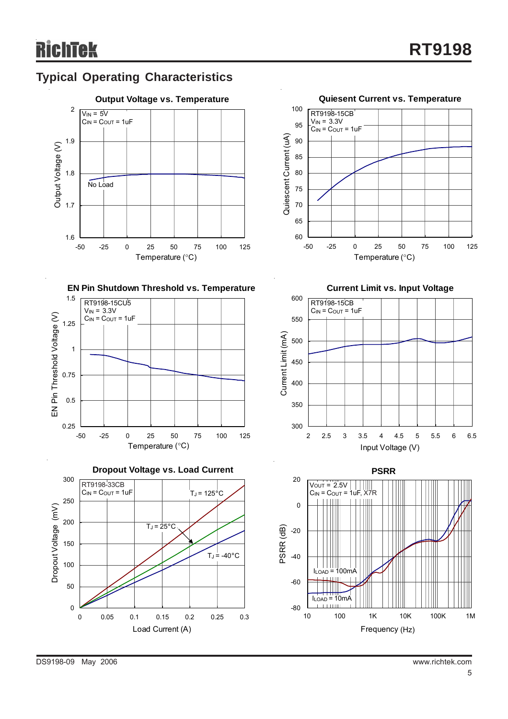# **Typical Operating Characteristics**





**EN Pin Shutdown Threshold vs. Temperature**







**Current Limit vs. Input Voltage**



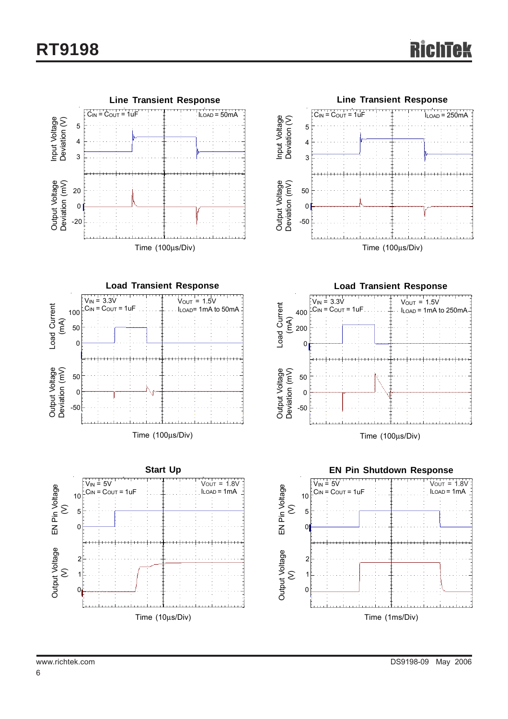







**Load Transient Response**  $V_{IN} = 3.3V$  $V_{OUT} = 1.5V$ Load Current Load Current  $100$   $\begin{bmatrix} C_{\text{IN}} = C_{\text{OUT}} = 1 \text{uF} \end{bmatrix}$   $\begin{bmatrix} 1 & 1 & 1 \ 1 & 1 & 1 \end{bmatrix}$   $\begin{bmatrix} 1 & 1 & 1 \ 1 & 1 & 1 \end{bmatrix}$   $\begin{bmatrix} 1 & 1 & 1 \ 1 & 1 & 1 \end{bmatrix}$   $\begin{bmatrix} 1 & 1 & 1 \ 1 & 1 & 1 \end{bmatrix}$   $\begin{bmatrix} 1 & 1 & 1 \ 1 & 1 & 1 \end{bmatrix}$   $\begin{bmatrix} 1 & 1 & 1 \$  $C_{IN} = C_{OUT} = 1$ uF (mA) 200  $\sqrt{2}$ Output Voltage<br>Deviation (mV) Deviation (mV) Output Voltage 50 0 -50 Time (100μs/Div)

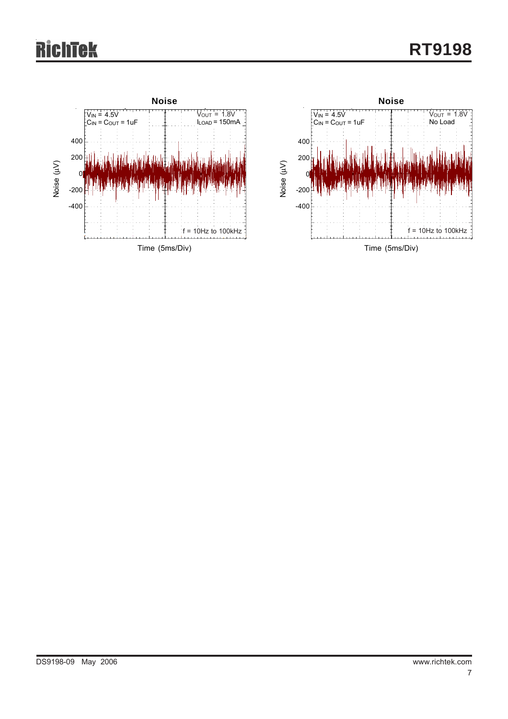# 'ek



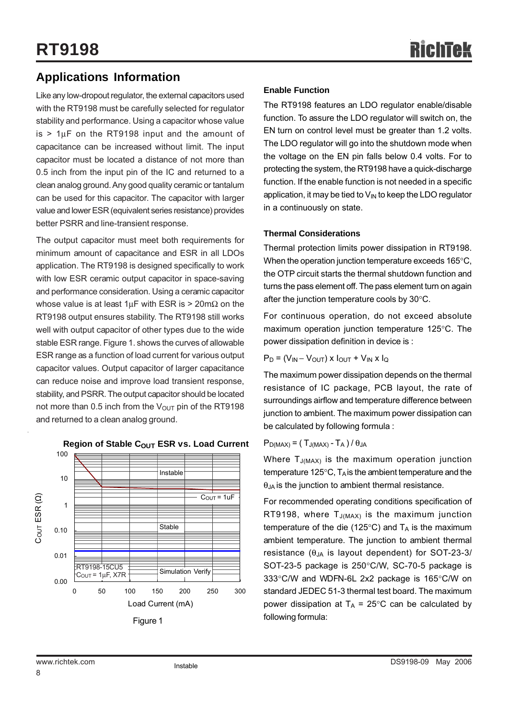## **Applications Information**

Like any low-dropout regulator, the external capacitors used with the RT9198 must be carefully selected for regulator stability and performance. Using a capacitor whose value  $is$  > 1 $\mu$ F on the RT9198 input and the amount of capacitance can be increased without limit. The input capacitor must be located a distance of not more than 0.5 inch from the input pin of the IC and returned to a clean analog ground. Any good quality ceramic or tantalum can be used for this capacitor. The capacitor with larger value and lower ESR (equivalent series resistance) provides better PSRR and line-transient response.

The output capacitor must meet both requirements for minimum amount of capacitance and ESR in all LDOs application. The RT9198 is designed specifically to work with low ESR ceramic output capacitor in space-saving and performance consideration. Using a ceramic capacitor whose value is at least 1 $\mu$ F with ESR is > 20m $\Omega$  on the RT9198 output ensures stability. The RT9198 still works well with output capacitor of other types due to the wide stable ESR range. Figure 1. shows the curves of allowable ESR range as a function of load current for various output capacitor values. Output capacitor of larger capacitance can reduce noise and improve load transient response, stability, and PSRR. The output capacitor should be located not more than 0.5 inch from the  $V_{\text{OUT}}$  pin of the RT9198 and returned to a clean analog ground.



#### **Region of Stable COUT ESR vs. Load Current**

#### **Enable Function**

The RT9198 features an LDO regulator enable/disable function. To assure the LDO regulator will switch on, the EN turn on control level must be greater than 1.2 volts. The LDO regulator will go into the shutdown mode when the voltage on the EN pin falls below 0.4 volts. For to protecting the system, the RT9198 have a quick-discharge function. If the enable function is not needed in a specific application, it may be tied to  $V_{IN}$  to keep the LDO regulator in a continuously on state.

#### **Thermal Considerations**

Thermal protection limits power dissipation in RT9198. When the operation junction temperature exceeds 165°C, the OTP circuit starts the thermal shutdown function and turns the pass element off. The pass element turn on again after the junction temperature cools by 30°C.

For continuous operation, do not exceed absolute maximum operation junction temperature 125°C. The power dissipation definition in device is :

$$
\mathsf{P}_{\mathsf{D}} = (\mathsf{V}_{\mathsf{IN}} - \mathsf{V}_{\mathsf{OUT}}) \times \mathsf{I}_{\mathsf{OUT}} + \mathsf{V}_{\mathsf{IN}} \times \mathsf{I}_{\mathsf{Q}}
$$

The maximum power dissipation depends on the thermal resistance of IC package, PCB layout, the rate of surroundings airflow and temperature difference between junction to ambient. The maximum power dissipation can be calculated by following formula :

### $P_{D(MAX)} = (T_{J(MAX)} - T_A)/\theta_{JA}$

Where T<sub>J(MAX)</sub> is the maximum operation junction temperature 125 $\degree$ C, T<sub>A</sub> is the ambient temperature and the  $\theta_{JA}$  is the junction to ambient thermal resistance.

For recommended operating conditions specification of RT9198, where  $T_{J(MAX)}$  is the maximum junction temperature of the die (125 $\degree$ C) and T<sub>A</sub> is the maximum ambient temperature. The junction to ambient thermal resistance  $(\theta_{JA}$  is layout dependent) for SOT-23-3/ SOT-23-5 package is 250°C/W, SC-70-5 package is 333°C/W and WDFN-6L 2x2 package is 165°C/W on standard JEDEC 51-3 thermal test board. The maximum power dissipation at  $T_A = 25^{\circ}$ C can be calculated by following formula: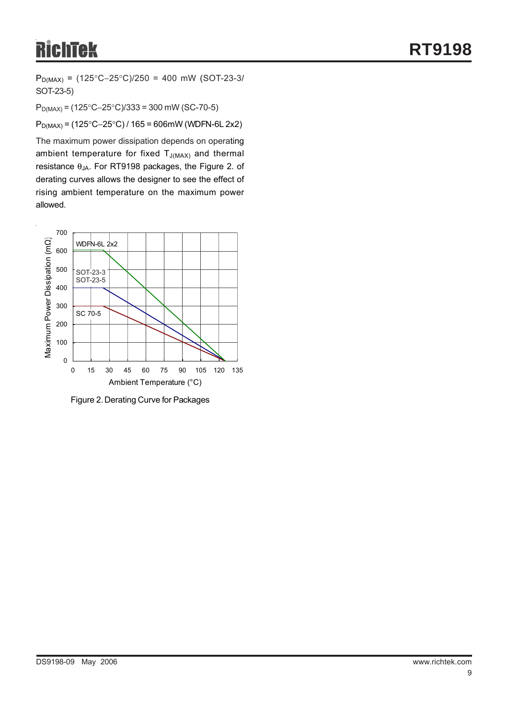# **RichTek**

PD(MAX) = (125°C−25°C)/250 = 400 mW (SOT-23-3/ SOT-23-5)

PD(MAX) = (125°C−25°C)/333 = 300 mW (SC-70-5)

PD(MAX) = (125°C−25°C) / 165 = 606mW (WDFN-6L 2x2)

The maximum power dissipation depends on operating ambient temperature for fixed  $T_{J(MAX)}$  and thermal resistance θJA. For RT9198 packages, the Figure 2. of derating curves allows the designer to see the effect of rising ambient temperature on the maximum power allowed.



Figure 2. Derating Curve for Packages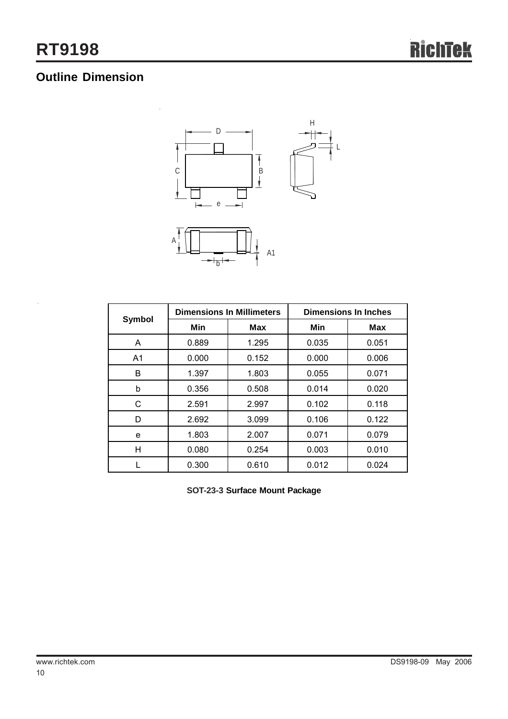# **Outline Dimension**



|                |       | <b>Dimensions In Millimeters</b> | <b>Dimensions In Inches</b> |            |  |
|----------------|-------|----------------------------------|-----------------------------|------------|--|
| Symbol         | Min   | <b>Max</b>                       | Min                         | <b>Max</b> |  |
| A              | 0.889 | 1.295                            | 0.035                       | 0.051      |  |
| A <sub>1</sub> | 0.000 | 0.152                            | 0.000                       | 0.006      |  |
| B              | 1.397 | 1.803                            | 0.055                       | 0.071      |  |
| b              | 0.356 | 0.508                            | 0.014                       | 0.020      |  |
| С              | 2.591 | 2.997                            | 0.102                       | 0.118      |  |
| D              | 2.692 | 3.099                            | 0.106                       | 0.122      |  |
| e              | 1.803 | 2.007                            | 0.071                       | 0.079      |  |
| H              | 0.080 | 0.254                            | 0.003                       | 0.010      |  |
|                | 0.300 | 0.610                            | 0.012                       | 0.024      |  |

**SOT-23-3 Surface Mount Package**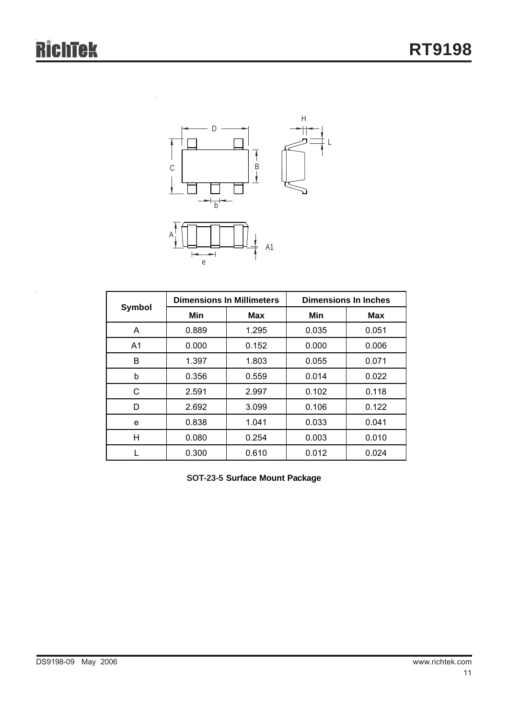

|                |       | <b>Dimensions In Millimeters</b> | <b>Dimensions In Inches</b> |            |  |
|----------------|-------|----------------------------------|-----------------------------|------------|--|
| Symbol         | Min   | <b>Max</b>                       | Min                         | <b>Max</b> |  |
| A              | 0.889 | 1.295                            | 0.035                       | 0.051      |  |
| A <sub>1</sub> | 0.000 | 0.152                            | 0.000                       | 0.006      |  |
| B              | 1.397 | 1.803                            | 0.055                       | 0.071      |  |
| b              | 0.356 | 0.559                            | 0.014                       | 0.022      |  |
| C              | 2.591 | 2.997                            | 0.102                       | 0.118      |  |
| D              | 2.692 | 3.099                            | 0.106                       | 0.122      |  |
| e              | 0.838 | 1.041                            | 0.033                       | 0.041      |  |
| н              | 0.080 | 0.254                            | 0.003                       | 0.010      |  |
|                | 0.300 | 0.610                            | 0.012                       | 0.024      |  |

**SOT-23-5 Surface Mount Package**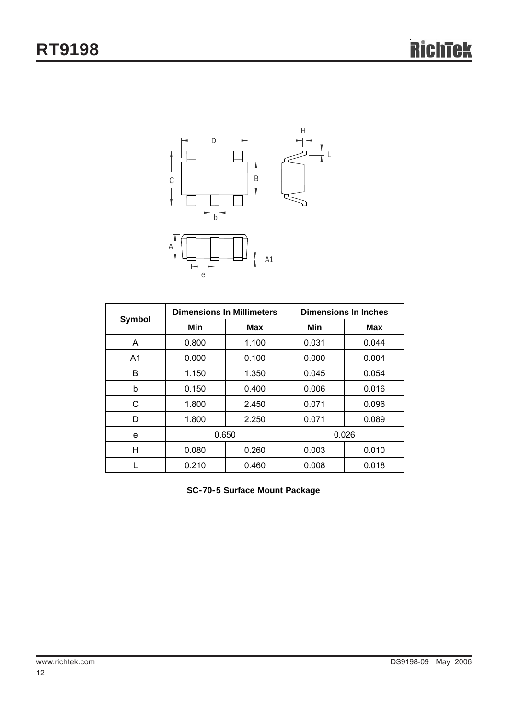$\ddot{\phantom{0}}$ 



|                |       | <b>Dimensions In Millimeters</b> | <b>Dimensions In Inches</b> |            |  |
|----------------|-------|----------------------------------|-----------------------------|------------|--|
| Symbol         | Min   | <b>Max</b>                       | Min                         | <b>Max</b> |  |
| A              | 0.800 | 1.100                            | 0.031                       | 0.044      |  |
| A <sub>1</sub> | 0.000 | 0.100                            | 0.000                       | 0.004      |  |
| B              | 1.150 | 1.350                            | 0.045                       | 0.054      |  |
| b              | 0.150 | 0.400                            | 0.006                       | 0.016      |  |
| С              | 1.800 | 2.450                            | 0.071                       | 0.096      |  |
| D              | 1.800 | 2.250                            | 0.071                       | 0.089      |  |
| e              |       | 0.650                            |                             | 0.026      |  |
| Η              | 0.080 | 0.260                            | 0.003                       | 0.010      |  |
|                | 0.210 | 0.460                            | 0.008                       | 0.018      |  |

**SC-70-5 Surface Mount Package**